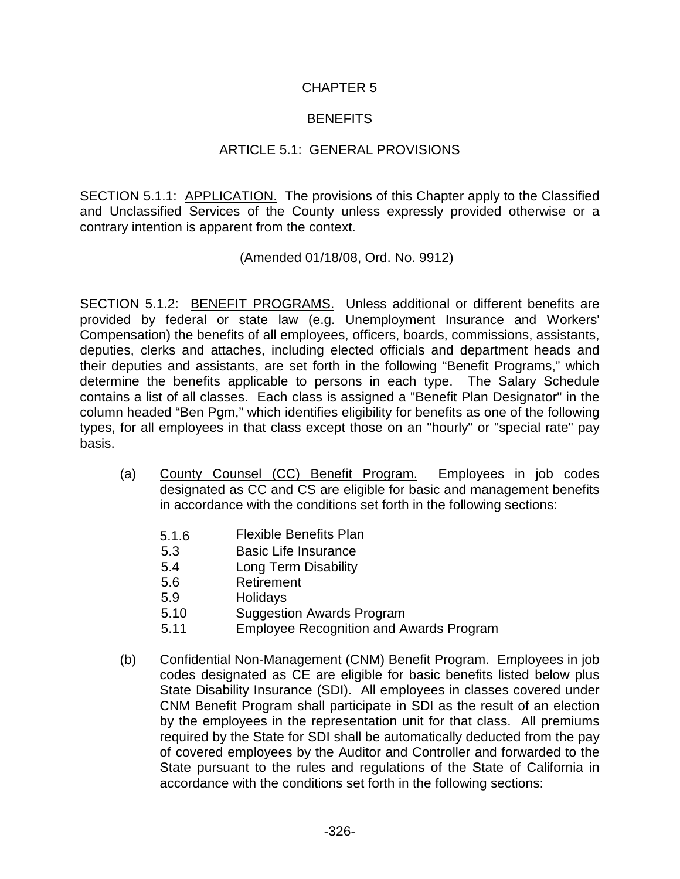#### CHAPTER 5

#### **BENEFITS**

#### ARTICLE 5.1: GENERAL PROVISIONS

SECTION 5.1.1: APPLICATION. The provisions of this Chapter apply to the Classified and Unclassified Services of the County unless expressly provided otherwise or a contrary intention is apparent from the context.

#### (Amended 01/18/08, Ord. No. 9912)

SECTION 5.1.2: BENEFIT PROGRAMS. Unless additional or different benefits are provided by federal or state law (e.g. Unemployment Insurance and Workers' Compensation) the benefits of all employees, officers, boards, commissions, assistants, deputies, clerks and attaches, including elected officials and department heads and their deputies and assistants, are set forth in the following "Benefit Programs," which determine the benefits applicable to persons in each type. The Salary Schedule contains a list of all classes. Each class is assigned a "Benefit Plan Designator" in the column headed "Ben Pgm," which identifies eligibility for benefits as one of the following types, for all employees in that class except those on an "hourly" or "special rate" pay basis.

- (a) County Counsel (CC) Benefit Program. Employees in job codes designated as CC and CS are eligible for basic and management benefits in accordance with the conditions set forth in the following sections:
	- 5.1.6 Flexible Benefits Plan
	- 5.3 Basic Life Insurance
	- 5.4 Long Term Disability
	- 5.6 Retirement
	- 5.9 Holidays
	- 5.10 Suggestion Awards Program
	- 5.11 Employee Recognition and Awards Program
- (b) Confidential Non-Management (CNM) Benefit Program. Employees in job codes designated as CE are eligible for basic benefits listed below plus State Disability Insurance (SDI). All employees in classes covered under CNM Benefit Program shall participate in SDI as the result of an election by the employees in the representation unit for that class. All premiums required by the State for SDI shall be automatically deducted from the pay of covered employees by the Auditor and Controller and forwarded to the State pursuant to the rules and regulations of the State of California in accordance with the conditions set forth in the following sections: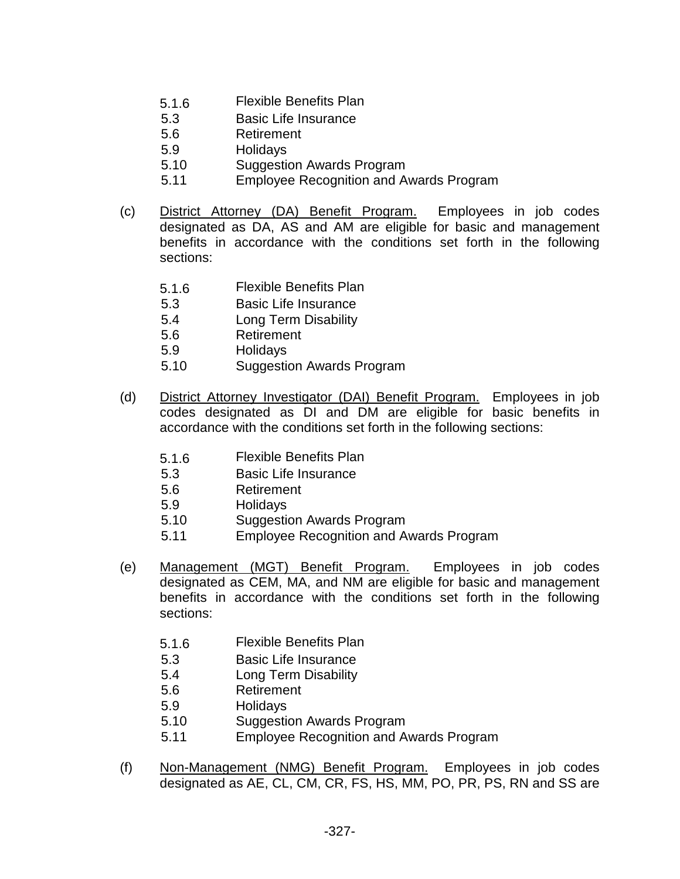- 5.1.6 Flexible Benefits Plan
- 5.3 Basic Life Insurance
- 5.6 Retirement
- 5.9 Holidays
- 5.10 Suggestion Awards Program
- 5.11 Employee Recognition and Awards Program
- (c) District Attorney (DA) Benefit Program. Employees in job codes designated as DA, AS and AM are eligible for basic and management benefits in accordance with the conditions set forth in the following sections:
	- 5.1.6 Flexible Benefits Plan
	- 5.3 Basic Life Insurance
	- 5.4 Long Term Disability
	- 5.6 Retirement
	- 5.9 Holidays
	- 5.10 Suggestion Awards Program
- (d) District Attorney Investigator (DAI) Benefit Program. Employees in job codes designated as DI and DM are eligible for basic benefits in accordance with the conditions set forth in the following sections:
	- 5.1.6 Flexible Benefits Plan
	- 5.3 Basic Life Insurance
	- 5.6 Retirement
	- 5.9 Holidays
	- 5.10 Suggestion Awards Program
	- 5.11 Employee Recognition and Awards Program
- (e) Management (MGT) Benefit Program. Employees in job codes designated as CEM, MA, and NM are eligible for basic and management benefits in accordance with the conditions set forth in the following sections:
	- 5.1.6 Flexible Benefits Plan
	- 5.3 Basic Life Insurance
	- 5.4 Long Term Disability
	- 5.6 Retirement
	- 5.9 Holidays
	- 5.10 Suggestion Awards Program
	- 5.11 Employee Recognition and Awards Program
- (f) Non-Management (NMG) Benefit Program. Employees in job codes designated as AE, CL, CM, CR, FS, HS, MM, PO, PR, PS, RN and SS are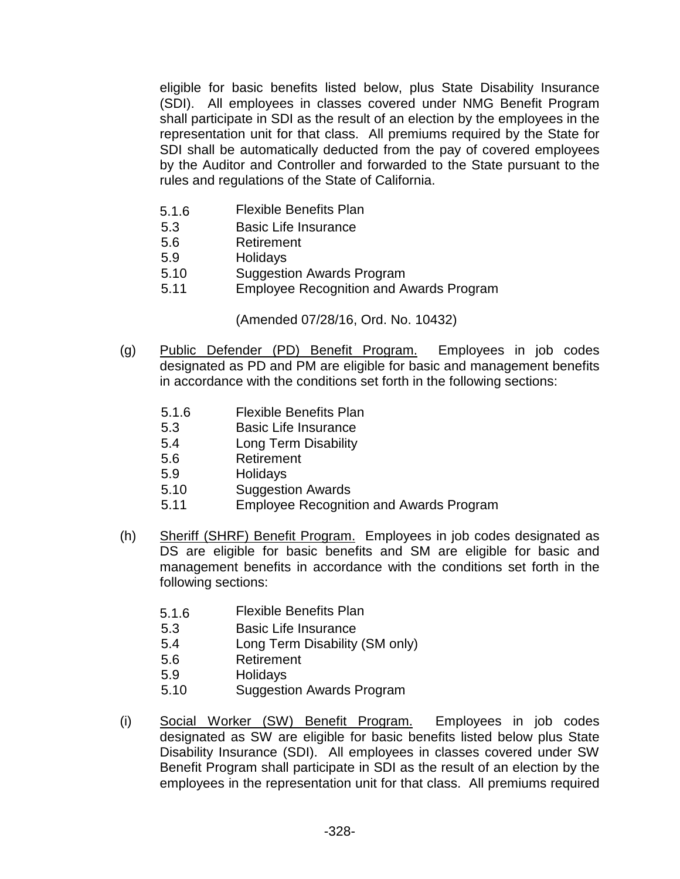eligible for basic benefits listed below, plus State Disability Insurance (SDI). All employees in classes covered under NMG Benefit Program shall participate in SDI as the result of an election by the employees in the representation unit for that class. All premiums required by the State for SDI shall be automatically deducted from the pay of covered employees by the Auditor and Controller and forwarded to the State pursuant to the rules and regulations of the State of California.

- 5.1.6 Flexible Benefits Plan
- 5.3 Basic Life Insurance
- 5.6 Retirement
- 5.9 Holidays
- 5.10 Suggestion Awards Program
- 5.11 Employee Recognition and Awards Program

(Amended 07/28/16, Ord. No. 10432)

- (g) Public Defender (PD) Benefit Program. Employees in job codes designated as PD and PM are eligible for basic and management benefits in accordance with the conditions set forth in the following sections:
	- 5.1.6 Flexible Benefits Plan
	- 5.3 Basic Life Insurance
	- 5.4 Long Term Disability
	- 5.6 Retirement
	- 5.9 Holidays
	- 5.10 Suggestion Awards
	- 5.11 Employee Recognition and Awards Program
- (h) Sheriff (SHRF) Benefit Program. Employees in job codes designated as DS are eligible for basic benefits and SM are eligible for basic and management benefits in accordance with the conditions set forth in the following sections:
	- 5.1.6 Flexible Benefits Plan
	- 5.3 Basic Life Insurance
	- 5.4 Long Term Disability (SM only)
	- 5.6 Retirement
	- 5.9 Holidays
	- 5.10 Suggestion Awards Program
- (i) Social Worker (SW) Benefit Program. Employees in job codes designated as SW are eligible for basic benefits listed below plus State Disability Insurance (SDI). All employees in classes covered under SW Benefit Program shall participate in SDI as the result of an election by the employees in the representation unit for that class. All premiums required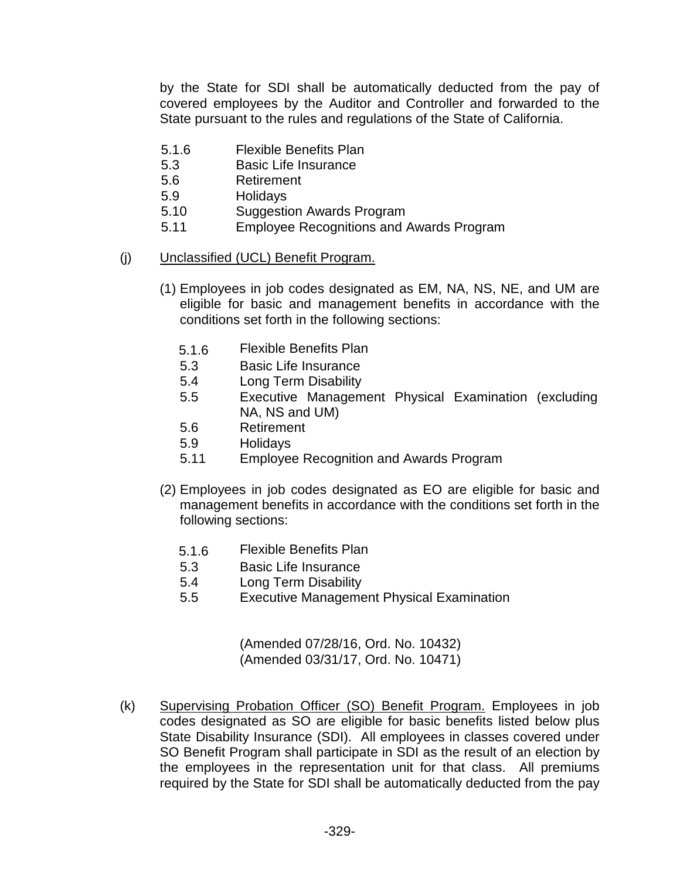by the State for SDI shall be automatically deducted from the pay of covered employees by the Auditor and Controller and forwarded to the State pursuant to the rules and regulations of the State of California.

- 5.1.6 Flexible Benefits Plan
- 5.3 Basic Life Insurance
- 5.6 Retirement
- 5.9 Holidays
- 5.10 Suggestion Awards Program
- 5.11 Employee Recognitions and Awards Program
- (j) Unclassified (UCL) Benefit Program.
	- (1) Employees in job codes designated as EM, NA, NS, NE, and UM are eligible for basic and management benefits in accordance with the conditions set forth in the following sections:
		- 5.1.6 Flexible Benefits Plan
		- 5.3 Basic Life Insurance
		- 5.4 Long Term Disability
		- 5.5 Executive Management Physical Examination (excluding NA, NS and UM)
		- 5.6 Retirement
		- 5.9 Holidays
		- 5.11 Employee Recognition and Awards Program
	- (2) Employees in job codes designated as EO are eligible for basic and management benefits in accordance with the conditions set forth in the following sections:
		- 5.1.6 Flexible Benefits Plan
		- 5.3 Basic Life Insurance
		- 5.4 Long Term Disability
		- 5.5 Executive Management Physical Examination

(Amended 07/28/16, Ord. No. 10432) (Amended 03/31/17, Ord. No. 10471)

(k) Supervising Probation Officer (SO) Benefit Program. Employees in job codes designated as SO are eligible for basic benefits listed below plus State Disability Insurance (SDI). All employees in classes covered under SO Benefit Program shall participate in SDI as the result of an election by the employees in the representation unit for that class. All premiums required by the State for SDI shall be automatically deducted from the pay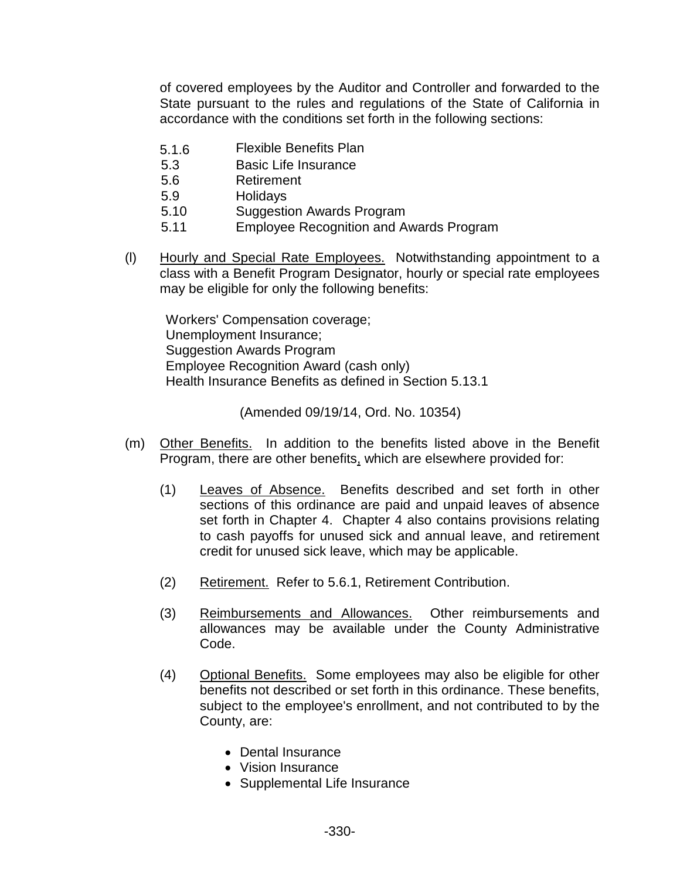of covered employees by the Auditor and Controller and forwarded to the State pursuant to the rules and regulations of the State of California in accordance with the conditions set forth in the following sections:

- 5.1.6 Flexible Benefits Plan
- 5.3 Basic Life Insurance
- 5.6 Retirement
- 5.9 Holidays
- 5.10 Suggestion Awards Program
- 5.11 Employee Recognition and Awards Program
- (l) Hourly and Special Rate Employees. Notwithstanding appointment to a class with a Benefit Program Designator, hourly or special rate employees may be eligible for only the following benefits:

Workers' Compensation coverage; Unemployment Insurance; Suggestion Awards Program Employee Recognition Award (cash only) Health Insurance Benefits as defined in Section 5.13.1

(Amended 09/19/14, Ord. No. 10354)

- (m) Other Benefits. In addition to the benefits listed above in the Benefit Program, there are other benefits, which are elsewhere provided for:
	- (1) Leaves of Absence. Benefits described and set forth in other sections of this ordinance are paid and unpaid leaves of absence set forth in Chapter 4. Chapter 4 also contains provisions relating to cash payoffs for unused sick and annual leave, and retirement credit for unused sick leave, which may be applicable.
	- (2) Retirement. Refer to 5.6.1, Retirement Contribution.
	- (3) Reimbursements and Allowances. Other reimbursements and allowances may be available under the County Administrative Code.
	- (4) Optional Benefits. Some employees may also be eligible for other benefits not described or set forth in this ordinance. These benefits, subject to the employee's enrollment, and not contributed to by the County, are:
		- Dental Insurance
		- Vision Insurance
		- Supplemental Life Insurance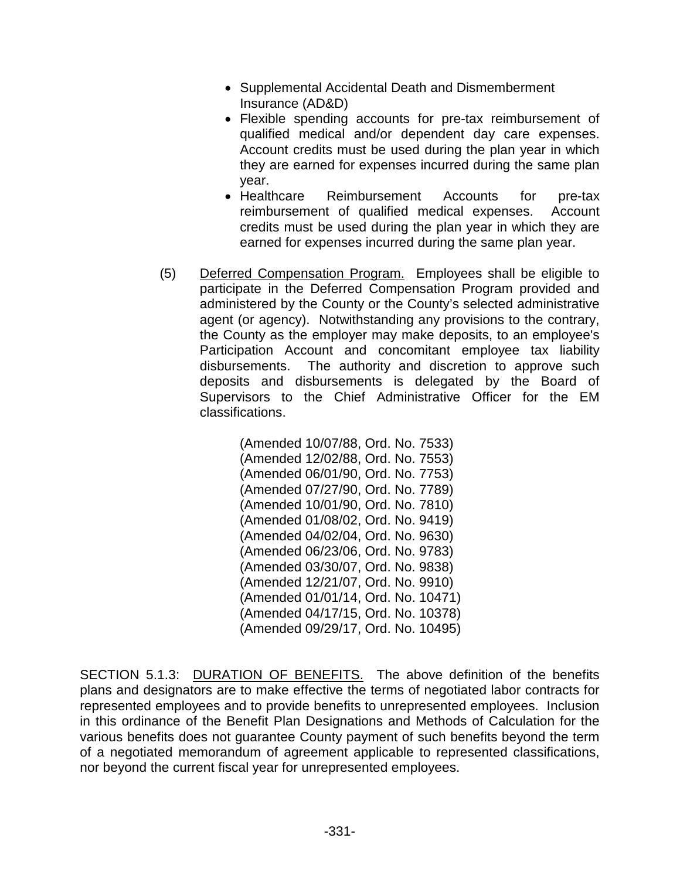- Supplemental Accidental Death and Dismemberment Insurance (AD&D)
- Flexible spending accounts for pre-tax reimbursement of qualified medical and/or dependent day care expenses. Account credits must be used during the plan year in which they are earned for expenses incurred during the same plan year.
- Healthcare Reimbursement Accounts for pre-tax reimbursement of qualified medical expenses. Account credits must be used during the plan year in which they are earned for expenses incurred during the same plan year.
- (5) Deferred Compensation Program. Employees shall be eligible to participate in the Deferred Compensation Program provided and administered by the County or the County's selected administrative agent (or agency). Notwithstanding any provisions to the contrary, the County as the employer may make deposits, to an employee's Participation Account and concomitant employee tax liability disbursements. The authority and discretion to approve such deposits and disbursements is delegated by the Board of Supervisors to the Chief Administrative Officer for the EM classifications.

(Amended 10/07/88, Ord. No. 7533) (Amended 12/02/88, Ord. No. 7553) (Amended 06/01/90, Ord. No. 7753) (Amended 07/27/90, Ord. No. 7789) (Amended 10/01/90, Ord. No. 7810) (Amended 01/08/02, Ord. No. 9419) (Amended 04/02/04, Ord. No. 9630) (Amended 06/23/06, Ord. No. 9783) (Amended 03/30/07, Ord. No. 9838) (Amended 12/21/07, Ord. No. 9910) (Amended 01/01/14, Ord. No. 10471) (Amended 04/17/15, Ord. No. 10378) (Amended 09/29/17, Ord. No. 10495)

SECTION 5.1.3: DURATION OF BENEFITS. The above definition of the benefits plans and designators are to make effective the terms of negotiated labor contracts for represented employees and to provide benefits to unrepresented employees. Inclusion in this ordinance of the Benefit Plan Designations and Methods of Calculation for the various benefits does not guarantee County payment of such benefits beyond the term of a negotiated memorandum of agreement applicable to represented classifications, nor beyond the current fiscal year for unrepresented employees.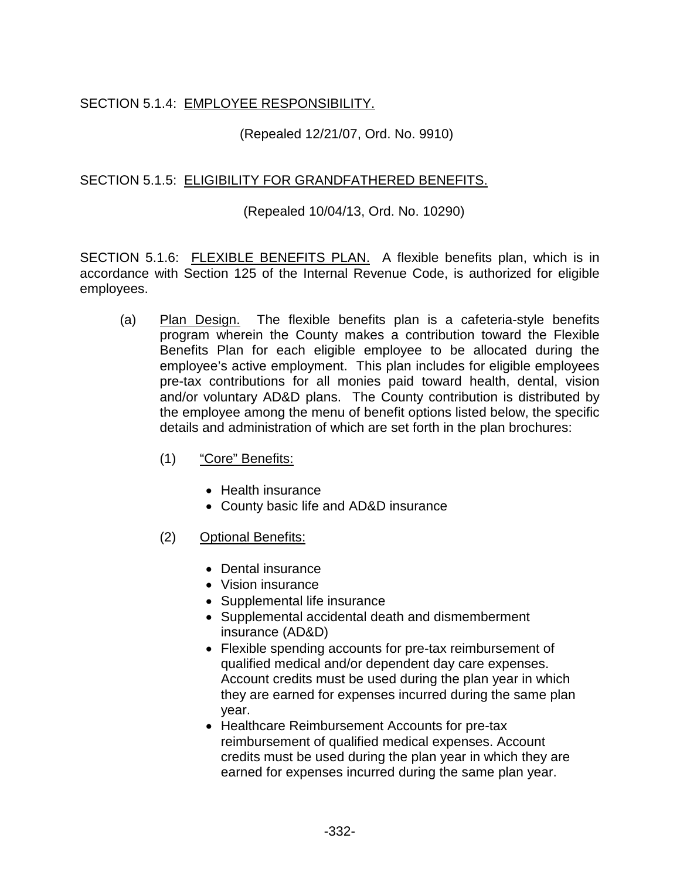## SECTION 5.1.4: EMPLOYEE RESPONSIBILITY.

#### (Repealed 12/21/07, Ord. No. 9910)

#### SECTION 5.1.5: ELIGIBILITY FOR GRANDFATHERED BENEFITS.

#### (Repealed 10/04/13, Ord. No. 10290)

SECTION 5.1.6: FLEXIBLE BENEFITS PLAN. A flexible benefits plan, which is in accordance with Section 125 of the Internal Revenue Code, is authorized for eligible employees.

- (a) Plan Design. The flexible benefits plan is a cafeteria-style benefits program wherein the County makes a contribution toward the Flexible Benefits Plan for each eligible employee to be allocated during the employee's active employment. This plan includes for eligible employees pre-tax contributions for all monies paid toward health, dental, vision and/or voluntary AD&D plans. The County contribution is distributed by the employee among the menu of benefit options listed below, the specific details and administration of which are set forth in the plan brochures:
	- (1) "Core" Benefits:
		- Health insurance
		- County basic life and AD&D insurance
	- (2) Optional Benefits:
		- Dental insurance
		- Vision insurance
		- Supplemental life insurance
		- Supplemental accidental death and dismemberment insurance (AD&D)
		- Flexible spending accounts for pre-tax reimbursement of qualified medical and/or dependent day care expenses. Account credits must be used during the plan year in which they are earned for expenses incurred during the same plan year.
		- Healthcare Reimbursement Accounts for pre-tax reimbursement of qualified medical expenses. Account credits must be used during the plan year in which they are earned for expenses incurred during the same plan year.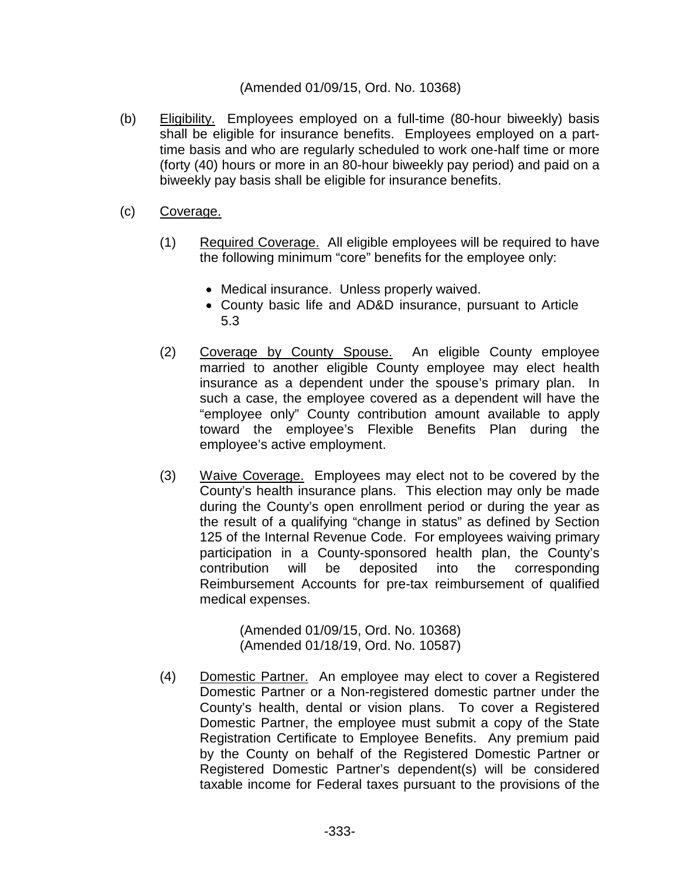#### (Amended 01/09/15, Ord. No. 10368)

- (b) Eligibility. Employees employed on a full-time (80-hour biweekly) basis shall be eligible for insurance benefits. Employees employed on a parttime basis and who are regularly scheduled to work one-half time or more (forty (40) hours or more in an 80-hour biweekly pay period) and paid on a biweekly pay basis shall be eligible for insurance benefits.
- (c) Coverage.
	- (1) Required Coverage. All eligible employees will be required to have the following minimum "core" benefits for the employee only:
		- Medical insurance. Unless properly waived.
		- County basic life and AD&D insurance, pursuant to Article 5.3
	- (2) Coverage by County Spouse. An eligible County employee married to another eligible County employee may elect health insurance as a dependent under the spouse's primary plan. In such a case, the employee covered as a dependent will have the "employee only" County contribution amount available to apply toward the employee's Flexible Benefits Plan during the employee's active employment.
	- (3) Waive Coverage. Employees may elect not to be covered by the County's health insurance plans. This election may only be made during the County's open enrollment period or during the year as the result of a qualifying "change in status" as defined by Section 125 of the Internal Revenue Code. For employees waiving primary participation in a County-sponsored health plan, the County's contribution will be deposited into the corresponding Reimbursement Accounts for pre-tax reimbursement of qualified medical expenses.

(Amended 01/09/15, Ord. No. 10368) (Amended 01/18/19, Ord. No. 10587)

(4) Domestic Partner. An employee may elect to cover a Registered Domestic Partner or a Non-registered domestic partner under the County's health, dental or vision plans. To cover a Registered Domestic Partner, the employee must submit a copy of the State Registration Certificate to Employee Benefits. Any premium paid by the County on behalf of the Registered Domestic Partner or Registered Domestic Partner's dependent(s) will be considered taxable income for Federal taxes pursuant to the provisions of the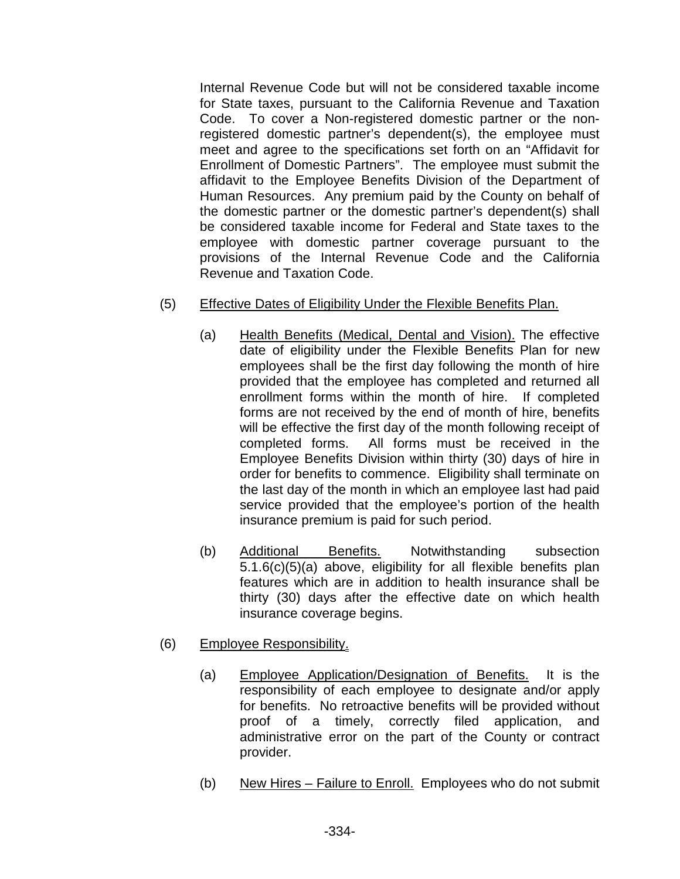Internal Revenue Code but will not be considered taxable income for State taxes, pursuant to the California Revenue and Taxation Code. To cover a Non-registered domestic partner or the nonregistered domestic partner's dependent(s), the employee must meet and agree to the specifications set forth on an "Affidavit for Enrollment of Domestic Partners". The employee must submit the affidavit to the Employee Benefits Division of the Department of Human Resources. Any premium paid by the County on behalf of the domestic partner or the domestic partner's dependent(s) shall be considered taxable income for Federal and State taxes to the employee with domestic partner coverage pursuant to the provisions of the Internal Revenue Code and the California Revenue and Taxation Code.

- (5) Effective Dates of Eligibility Under the Flexible Benefits Plan.
	- (a) Health Benefits (Medical, Dental and Vision). The effective date of eligibility under the Flexible Benefits Plan for new employees shall be the first day following the month of hire provided that the employee has completed and returned all enrollment forms within the month of hire. If completed forms are not received by the end of month of hire, benefits will be effective the first day of the month following receipt of completed forms. All forms must be received in the Employee Benefits Division within thirty (30) days of hire in order for benefits to commence. Eligibility shall terminate on the last day of the month in which an employee last had paid service provided that the employee's portion of the health insurance premium is paid for such period.
	- (b) Additional Benefits. Notwithstanding subsection 5.1.6(c)(5)(a) above, eligibility for all flexible benefits plan features which are in addition to health insurance shall be thirty (30) days after the effective date on which health insurance coverage begins.
- (6) Employee Responsibility.
	- (a) Employee Application/Designation of Benefits. It is the responsibility of each employee to designate and/or apply for benefits. No retroactive benefits will be provided without proof of a timely, correctly filed application, and administrative error on the part of the County or contract provider.
	- (b) New Hires Failure to Enroll. Employees who do not submit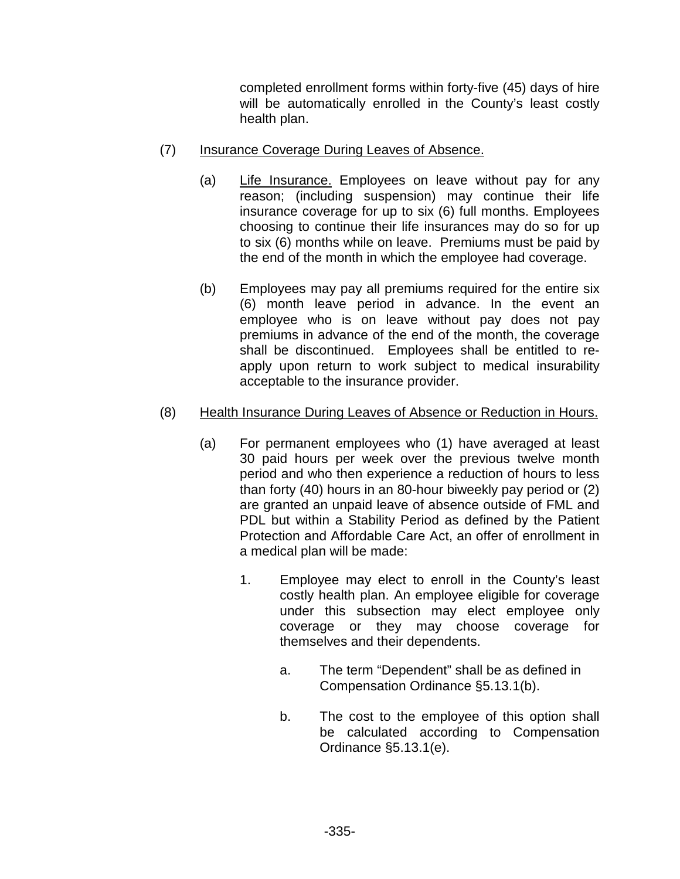completed enrollment forms within forty-five (45) days of hire will be automatically enrolled in the County's least costly health plan.

- (7) Insurance Coverage During Leaves of Absence.
	- (a) Life Insurance. Employees on leave without pay for any reason; (including suspension) may continue their life insurance coverage for up to six (6) full months. Employees choosing to continue their life insurances may do so for up to six (6) months while on leave. Premiums must be paid by the end of the month in which the employee had coverage.
	- (b) Employees may pay all premiums required for the entire six (6) month leave period in advance. In the event an employee who is on leave without pay does not pay premiums in advance of the end of the month, the coverage shall be discontinued. Employees shall be entitled to reapply upon return to work subject to medical insurability acceptable to the insurance provider.

# (8) Health Insurance During Leaves of Absence or Reduction in Hours.

- (a) For permanent employees who (1) have averaged at least 30 paid hours per week over the previous twelve month period and who then experience a reduction of hours to less than forty (40) hours in an 80-hour biweekly pay period or (2) are granted an unpaid leave of absence outside of FML and PDL but within a Stability Period as defined by the Patient Protection and Affordable Care Act, an offer of enrollment in a medical plan will be made:
	- 1. Employee may elect to enroll in the County's least costly health plan. An employee eligible for coverage under this subsection may elect employee only coverage or they may choose coverage for themselves and their dependents.
		- a. The term "Dependent" shall be as defined in Compensation Ordinance §5.13.1(b).
		- b. The cost to the employee of this option shall be calculated according to Compensation Ordinance §5.13.1(e).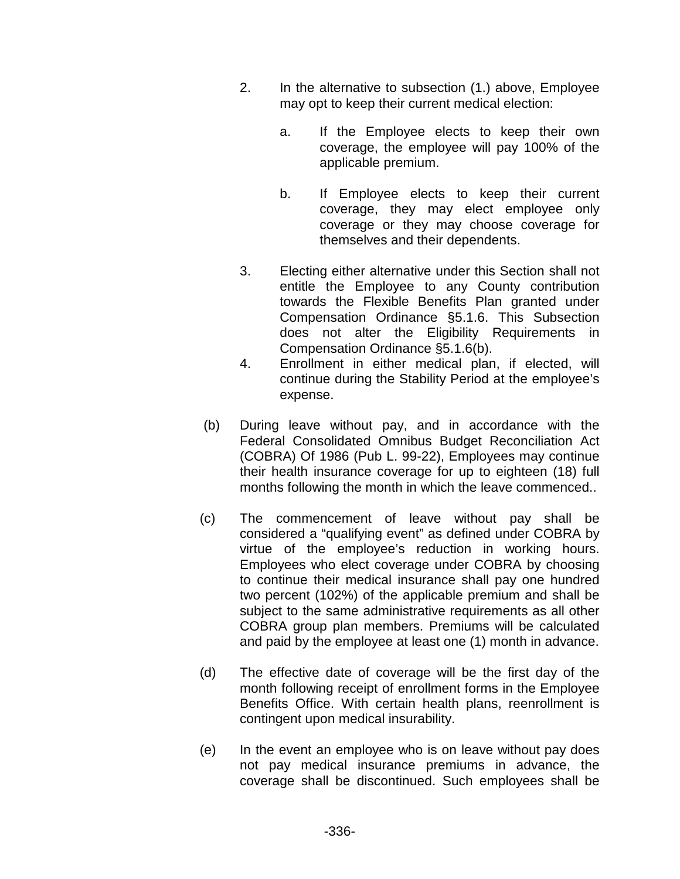- 2. In the alternative to subsection (1.) above, Employee may opt to keep their current medical election:
	- a. If the Employee elects to keep their own coverage, the employee will pay 100% of the applicable premium.
	- b. If Employee elects to keep their current coverage, they may elect employee only coverage or they may choose coverage for themselves and their dependents.
- 3. Electing either alternative under this Section shall not entitle the Employee to any County contribution towards the Flexible Benefits Plan granted under Compensation Ordinance §5.1.6. This Subsection does not alter the Eligibility Requirements in Compensation Ordinance §5.1.6(b).
- 4. Enrollment in either medical plan, if elected, will continue during the Stability Period at the employee's expense.
- (b) During leave without pay, and in accordance with the Federal Consolidated Omnibus Budget Reconciliation Act (COBRA) Of 1986 (Pub L. 99-22), Employees may continue their health insurance coverage for up to eighteen (18) full months following the month in which the leave commenced..
- (c) The commencement of leave without pay shall be considered a "qualifying event" as defined under COBRA by virtue of the employee's reduction in working hours. Employees who elect coverage under COBRA by choosing to continue their medical insurance shall pay one hundred two percent (102%) of the applicable premium and shall be subject to the same administrative requirements as all other COBRA group plan members. Premiums will be calculated and paid by the employee at least one (1) month in advance.
- (d) The effective date of coverage will be the first day of the month following receipt of enrollment forms in the Employee Benefits Office. With certain health plans, reenrollment is contingent upon medical insurability.
- (e) In the event an employee who is on leave without pay does not pay medical insurance premiums in advance, the coverage shall be discontinued. Such employees shall be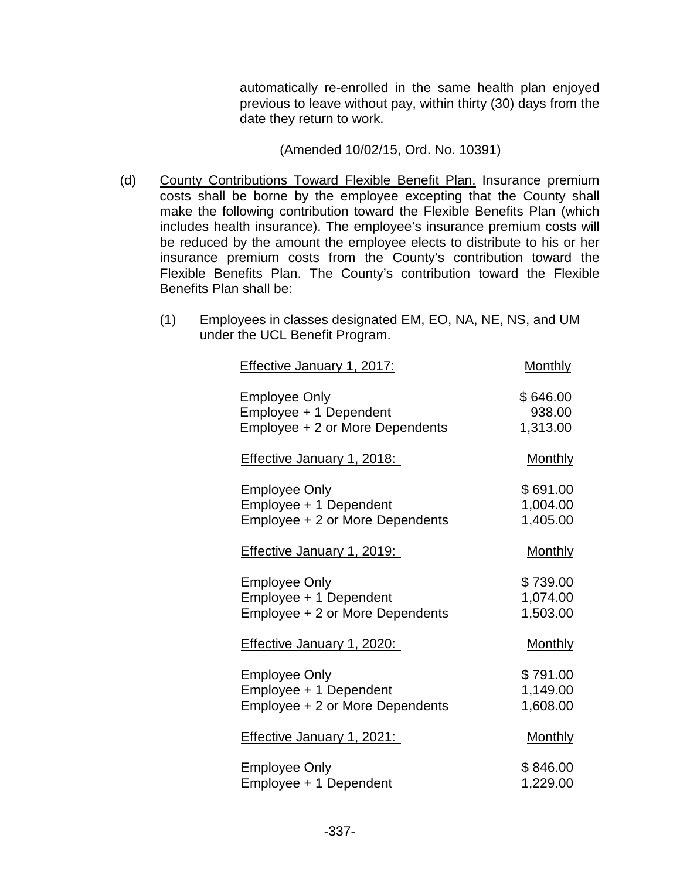automatically re-enrolled in the same health plan enjoyed previous to leave without pay, within thirty (30) days from the date they return to work.

(Amended 10/02/15, Ord. No. 10391)

- (d) County Contributions Toward Flexible Benefit Plan. Insurance premium costs shall be borne by the employee excepting that the County shall make the following contribution toward the Flexible Benefits Plan (which includes health insurance). The employee's insurance premium costs will be reduced by the amount the employee elects to distribute to his or her insurance premium costs from the County's contribution toward the Flexible Benefits Plan. The County's contribution toward the Flexible Benefits Plan shall be:
	- (1) Employees in classes designated EM, EO, NA, NE, NS, and UM under the UCL Benefit Program.

| <u>Effective January 1, 2017:</u> | <u>Monthly</u> |
|-----------------------------------|----------------|
| <b>Employee Only</b>              | \$646.00       |
| Employee + 1 Dependent            | 938.00         |
| Employee + 2 or More Dependents   | 1,313.00       |
| <b>Effective January 1, 2018:</b> | <u>Monthly</u> |
| <b>Employee Only</b>              | \$691.00       |
| Employee + 1 Dependent            | 1,004.00       |
| Employee + 2 or More Dependents   | 1,405.00       |
| <b>Effective January 1, 2019:</b> | <b>Monthly</b> |
| <b>Employee Only</b>              | \$739.00       |
| Employee + 1 Dependent            | 1,074.00       |
| Employee + 2 or More Dependents   | 1,503.00       |
| <b>Effective January 1, 2020:</b> | <u>Monthly</u> |
| <b>Employee Only</b>              | \$791.00       |
| Employee + 1 Dependent            | 1,149.00       |
| Employee + 2 or More Dependents   | 1,608.00       |
| <b>Effective January 1, 2021:</b> | <u>Monthly</u> |
| <b>Employee Only</b>              | \$846.00       |
| Employee + 1 Dependent            | 1,229.00       |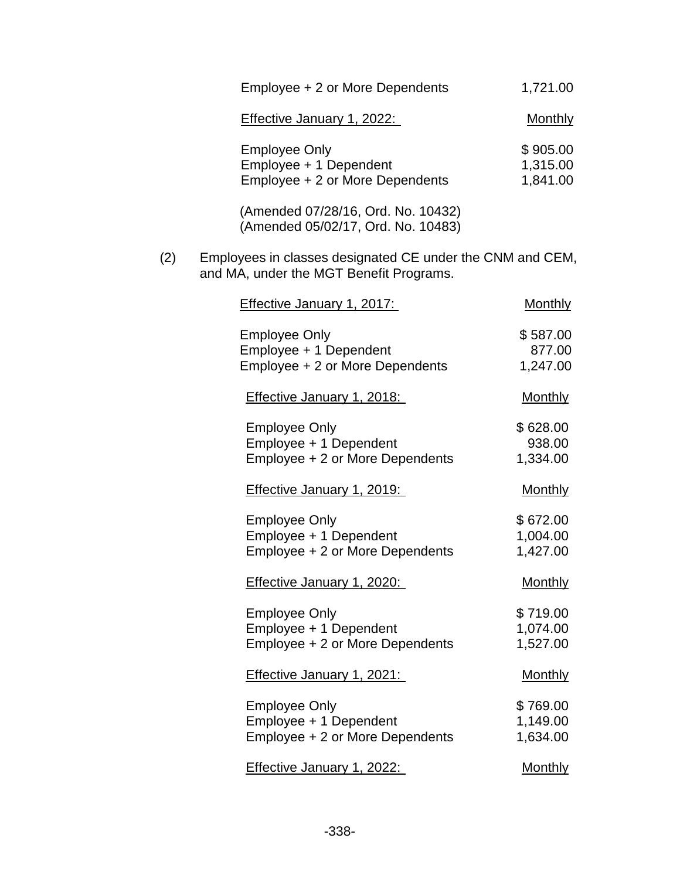|     | Employee + 2 or More Dependents                                                                      | 1,721.00                         |
|-----|------------------------------------------------------------------------------------------------------|----------------------------------|
|     | <b>Effective January 1, 2022:</b>                                                                    | <u>Monthly</u>                   |
|     | <b>Employee Only</b><br>Employee + 1 Dependent<br>Employee + 2 or More Dependents                    | \$905.00<br>1,315.00<br>1,841.00 |
|     | (Amended 07/28/16, Ord. No. 10432)<br>(Amended 05/02/17, Ord. No. 10483)                             |                                  |
| (2) | Employees in classes designated CE under the CNM and CEM,<br>and MA, under the MGT Benefit Programs. |                                  |
|     | <b>Effective January 1, 2017:</b>                                                                    | Monthly                          |
|     | <b>Employee Only</b><br>Employee + 1 Dependent<br>Employee + 2 or More Dependents                    | \$587.00<br>877.00<br>1,247.00   |
|     | <b>Effective January 1, 2018:</b>                                                                    | <b>Monthly</b>                   |
|     | <b>Employee Only</b><br>Employee + 1 Dependent<br>Employee + 2 or More Dependents                    | \$628.00<br>938.00<br>1,334.00   |
|     | <b>Effective January 1, 2019:</b>                                                                    | <b>Monthly</b>                   |
|     | <b>Employee Only</b><br>Employee + 1 Dependent<br>Employee + 2 or More Dependents                    | \$672.00<br>1,004.00<br>1,427.00 |
|     | Effective January 1, 2020:                                                                           | <b>Monthly</b>                   |
|     | <b>Employee Only</b><br>Employee + 1 Dependent<br>Employee + 2 or More Dependents                    | \$719.00<br>1,074.00<br>1,527.00 |
|     | <b>Effective January 1, 2021:</b>                                                                    | <b>Monthly</b>                   |
|     | <b>Employee Only</b><br>Employee + 1 Dependent<br>Employee + 2 or More Dependents                    | \$769.00<br>1,149.00<br>1,634.00 |
|     | Effective January 1, 2022:                                                                           | <b>Monthly</b>                   |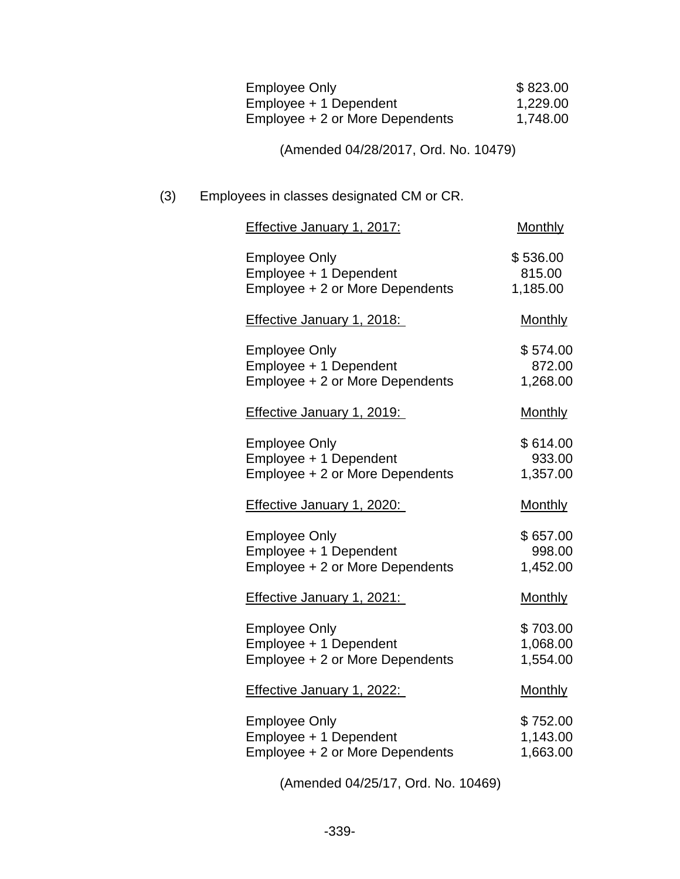| Employee Only                   | \$823.00 |
|---------------------------------|----------|
| Employee + 1 Dependent          | 1,229.00 |
| Employee + 2 or More Dependents | 1,748.00 |

(Amended 04/28/2017, Ord. No. 10479)

## (3) Employees in classes designated CM or CR.

| <b>Effective January 1, 2017:</b>                                                 | <b>Monthly</b>                   |
|-----------------------------------------------------------------------------------|----------------------------------|
| <b>Employee Only</b><br>Employee + 1 Dependent<br>Employee + 2 or More Dependents | \$536.00<br>815.00<br>1,185.00   |
| <b>Effective January 1, 2018:</b>                                                 | <b>Monthly</b>                   |
| <b>Employee Only</b><br>Employee + 1 Dependent<br>Employee + 2 or More Dependents | \$574.00<br>872.00<br>1,268.00   |
| <b>Effective January 1, 2019:</b>                                                 | <b>Monthly</b>                   |
| <b>Employee Only</b><br>Employee + 1 Dependent<br>Employee + 2 or More Dependents | \$614.00<br>933.00<br>1,357.00   |
| <b>Effective January 1, 2020:</b>                                                 | <b>Monthly</b>                   |
| <b>Employee Only</b><br>Employee + 1 Dependent<br>Employee + 2 or More Dependents | \$657.00<br>998.00<br>1,452.00   |
| <b>Effective January 1, 2021:</b>                                                 | <b>Monthly</b>                   |
| <b>Employee Only</b><br>Employee + 1 Dependent<br>Employee + 2 or More Dependents | \$703.00<br>1,068.00<br>1,554.00 |
| <b>Effective January 1, 2022:</b>                                                 | <b>Monthly</b>                   |
| <b>Employee Only</b><br>Employee + 1 Dependent<br>Employee + 2 or More Dependents | \$752.00<br>1,143.00<br>1,663.00 |
| (Amended 04/25/17, Ord. No. 10469)                                                |                                  |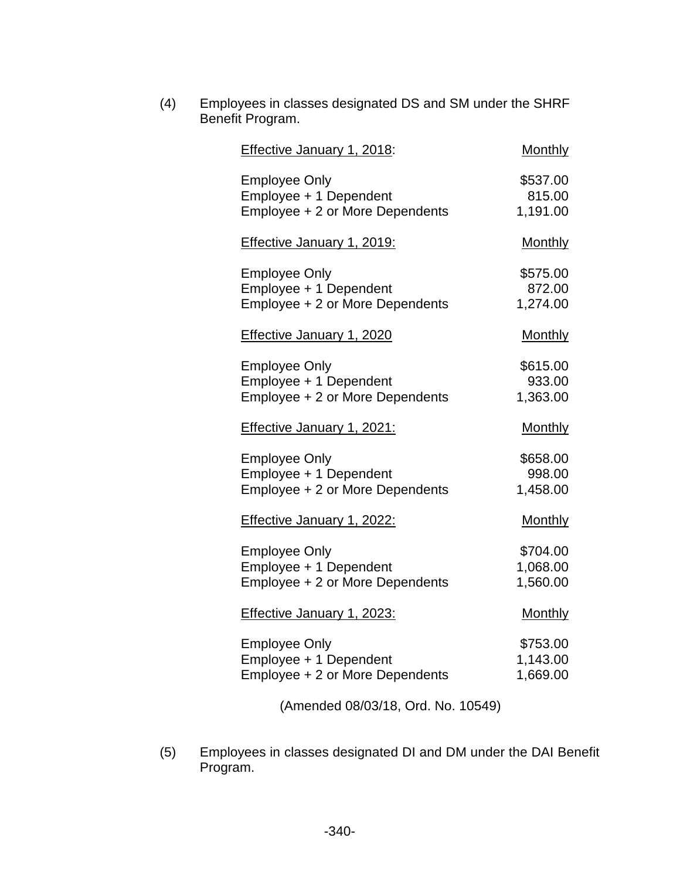| (4) | Employees in classes designated DS and SM under the SHRF<br>Benefit Program.      |                                  |
|-----|-----------------------------------------------------------------------------------|----------------------------------|
|     | <b>Effective January 1, 2018:</b>                                                 | <b>Monthly</b>                   |
|     | <b>Employee Only</b><br>Employee + 1 Dependent<br>Employee + 2 or More Dependents | \$537.00<br>815.00<br>1,191.00   |
|     | <b>Effective January 1, 2019:</b>                                                 | <b>Monthly</b>                   |
|     | <b>Employee Only</b><br>Employee + 1 Dependent<br>Employee + 2 or More Dependents | \$575.00<br>872.00<br>1,274.00   |
|     | <b>Effective January 1, 2020</b>                                                  | <b>Monthly</b>                   |
|     | <b>Employee Only</b><br>Employee + 1 Dependent<br>Employee + 2 or More Dependents | \$615.00<br>933.00<br>1,363.00   |
|     | <b>Effective January 1, 2021:</b>                                                 | <b>Monthly</b>                   |
|     | <b>Employee Only</b><br>Employee + 1 Dependent<br>Employee + 2 or More Dependents | \$658.00<br>998.00<br>1,458.00   |
|     | <b>Effective January 1, 2022:</b>                                                 | <b>Monthly</b>                   |
|     | <b>Employee Only</b><br>Employee + 1 Dependent<br>Employee + 2 or More Dependents | \$704.00<br>1,068.00<br>1,560.00 |
|     | <b>Effective January 1, 2023:</b>                                                 | Monthly                          |
|     | <b>Employee Only</b><br>Employee + 1 Dependent<br>Employee + 2 or More Dependents | \$753.00<br>1,143.00<br>1,669.00 |
|     | (Amended 08/03/18, Ord. No. 10549)                                                |                                  |

(5) Employees in classes designated DI and DM under the DAI Benefit Program.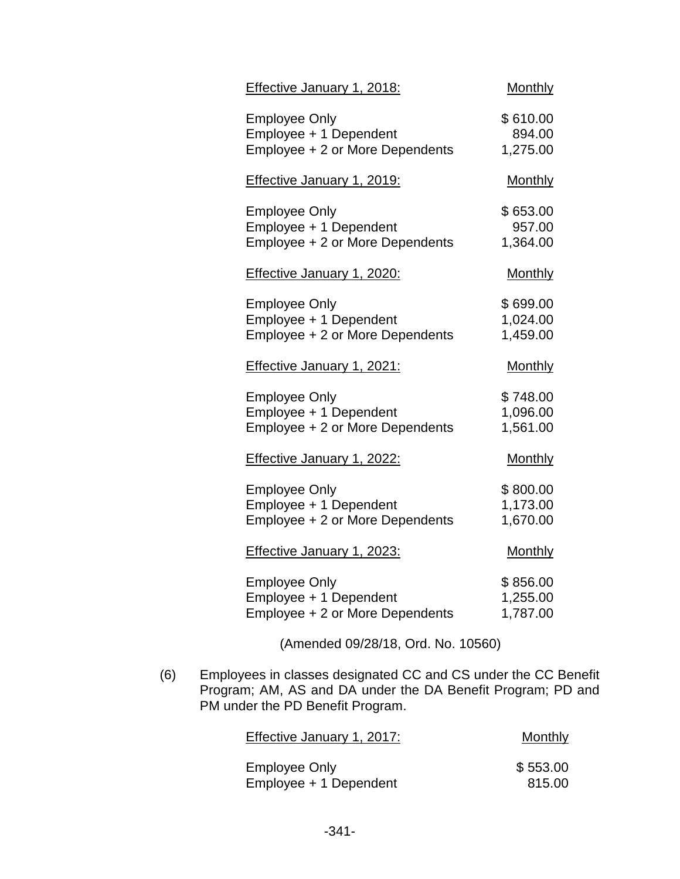| Effective January 1, 2018:                                                        | <b>Monthly</b>                   |
|-----------------------------------------------------------------------------------|----------------------------------|
| <b>Employee Only</b><br>Employee + 1 Dependent<br>Employee + 2 or More Dependents | \$610.00<br>894.00<br>1,275.00   |
| <b>Effective January 1, 2019:</b>                                                 | <b>Monthly</b>                   |
| <b>Employee Only</b><br>Employee + 1 Dependent<br>Employee + 2 or More Dependents | \$653.00<br>957.00<br>1,364.00   |
| <b>Effective January 1, 2020:</b>                                                 | <b>Monthly</b>                   |
| <b>Employee Only</b><br>Employee + 1 Dependent<br>Employee + 2 or More Dependents | \$699.00<br>1,024.00<br>1,459.00 |
|                                                                                   |                                  |
| <b>Effective January 1, 2021:</b>                                                 | <b>Monthly</b>                   |
| <b>Employee Only</b><br>Employee + 1 Dependent<br>Employee + 2 or More Dependents | \$748.00<br>1,096.00<br>1,561.00 |
| <b>Effective January 1, 2022:</b>                                                 | <b>Monthly</b>                   |
| <b>Employee Only</b><br>Employee + 1 Dependent<br>Employee + 2 or More Dependents | \$800.00<br>1,173.00<br>1,670.00 |
| <b>Effective January 1, 2023:</b>                                                 | <b>Monthly</b>                   |

(Amended 09/28/18, Ord. No. 10560)

(6) Employees in classes designated CC and CS under the CC Benefit Program; AM, AS and DA under the DA Benefit Program; PD and PM under the PD Benefit Program.

| Effective January 1, 2017: | Monthly  |
|----------------------------|----------|
| Employee Only              | \$553.00 |
| Employee + 1 Dependent     | 815.00   |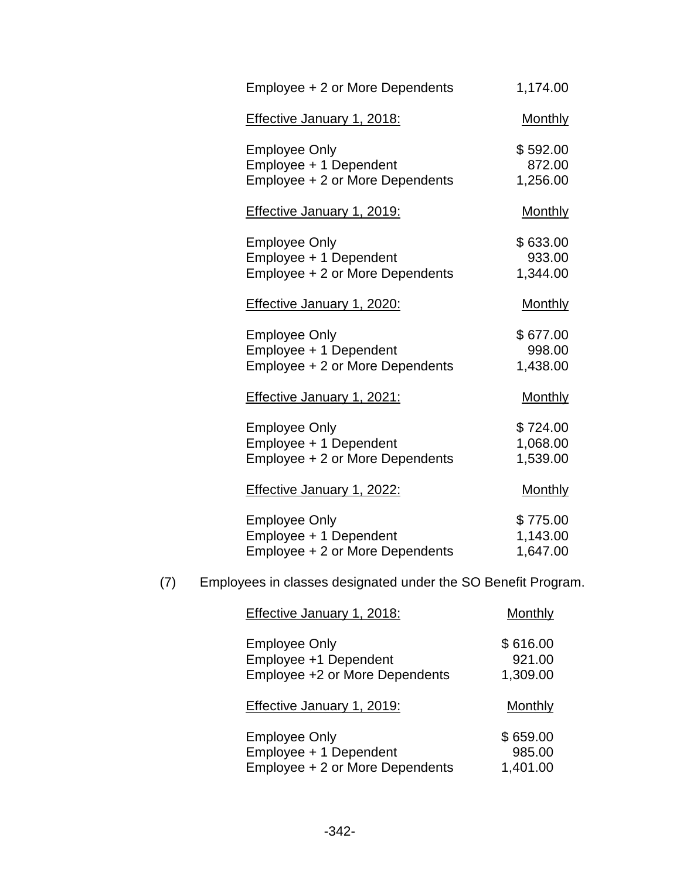| Employee + 2 or More Dependents                | 1,174.00           |
|------------------------------------------------|--------------------|
| Effective January 1, 2018:                     | <b>Monthly</b>     |
| <b>Employee Only</b><br>Employee + 1 Dependent | \$592.00<br>872.00 |
| Employee + 2 or More Dependents                | 1,256.00           |
| <b>Effective January 1, 2019:</b>              | <b>Monthly</b>     |
| <b>Employee Only</b>                           | \$633.00           |
| Employee + 1 Dependent                         | 933.00             |
| Employee + 2 or More Dependents                | 1,344.00           |
| Effective January 1, 2020:                     | <b>Monthly</b>     |
| <b>Employee Only</b>                           | \$677.00           |
| Employee + 1 Dependent                         | 998.00             |
| Employee + 2 or More Dependents                | 1,438.00           |
| <b>Effective January 1, 2021:</b>              | <b>Monthly</b>     |
| <b>Employee Only</b>                           | \$724.00           |
| Employee + 1 Dependent                         | 1,068.00           |
| Employee + 2 or More Dependents                | 1,539.00           |
| Effective January 1, 2022:                     | <b>Monthly</b>     |
| <b>Employee Only</b>                           | \$775.00           |
| Employee + 1 Dependent                         | 1,143.00           |
| Employee + 2 or More Dependents                | 1,647.00           |

(7) Employees in classes designated under the SO Benefit Program.

| Effective January 1, 2018:                                                      | Monthly                        |
|---------------------------------------------------------------------------------|--------------------------------|
| <b>Employee Only</b><br>Employee +1 Dependent<br>Employee +2 or More Dependents | \$616.00<br>921.00<br>1,309.00 |
| Effective January 1, 2019:                                                      | Monthly                        |
| <b>Employee Only</b>                                                            | \$659.00                       |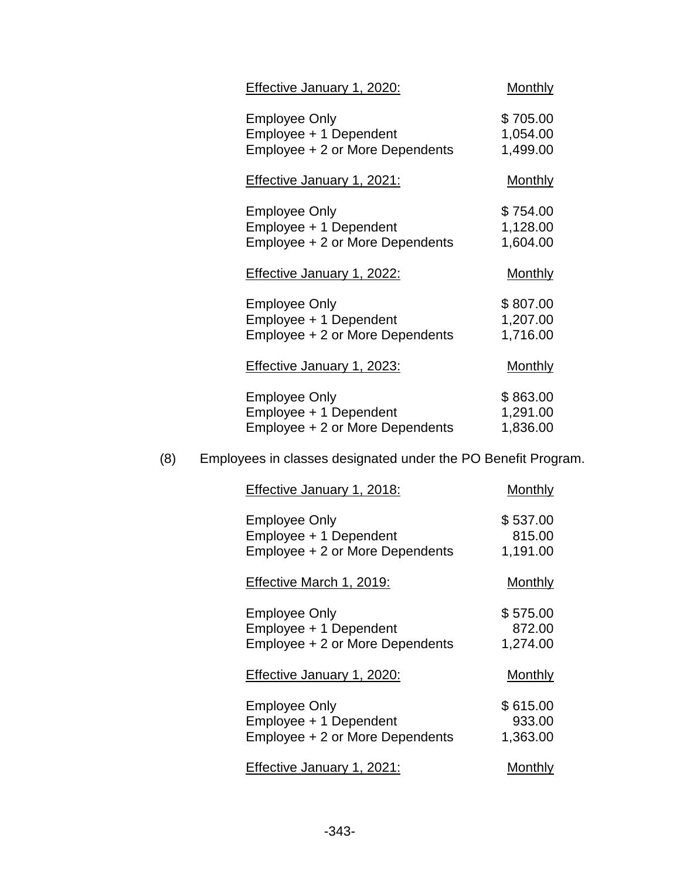| Effective January 1, 2020:                                                        | <b>Monthly</b>                   |
|-----------------------------------------------------------------------------------|----------------------------------|
| <b>Employee Only</b><br>Employee + 1 Dependent<br>Employee + 2 or More Dependents | \$705.00<br>1,054.00<br>1,499.00 |
| <u>Effective January 1, 2021:</u>                                                 | <u>Monthly</u>                   |
| <b>Employee Only</b><br>Employee + 1 Dependent<br>Employee + 2 or More Dependents | \$754.00<br>1,128.00<br>1,604.00 |
| Effective January 1, 2022:                                                        | <b>Monthly</b>                   |
|                                                                                   |                                  |
| <b>Employee Only</b><br>Employee + 1 Dependent<br>Employee + 2 or More Dependents | \$807.00<br>1,207.00<br>1,716.00 |
| <b>Effective January 1, 2023:</b>                                                 | <u>Monthly</u>                   |

# (8) Employees in classes designated under the PO Benefit Program.

| Effective January 1, 2018:                                                        | <b>Monthly</b>                 |
|-----------------------------------------------------------------------------------|--------------------------------|
| <b>Employee Only</b><br>Employee + 1 Dependent<br>Employee + 2 or More Dependents | \$537.00<br>815.00<br>1,191.00 |
| Effective March 1, 2019:                                                          | <b>Monthly</b>                 |
| <b>Employee Only</b><br>Employee + 1 Dependent<br>Employee + 2 or More Dependents | \$575.00<br>872.00<br>1,274.00 |
| Effective January 1, 2020:                                                        | Monthly                        |
| <b>Employee Only</b><br>Employee + 1 Dependent<br>Employee + 2 or More Dependents | \$615.00<br>933.00<br>1,363.00 |
| Effective January 1, 2021:                                                        | Monthly                        |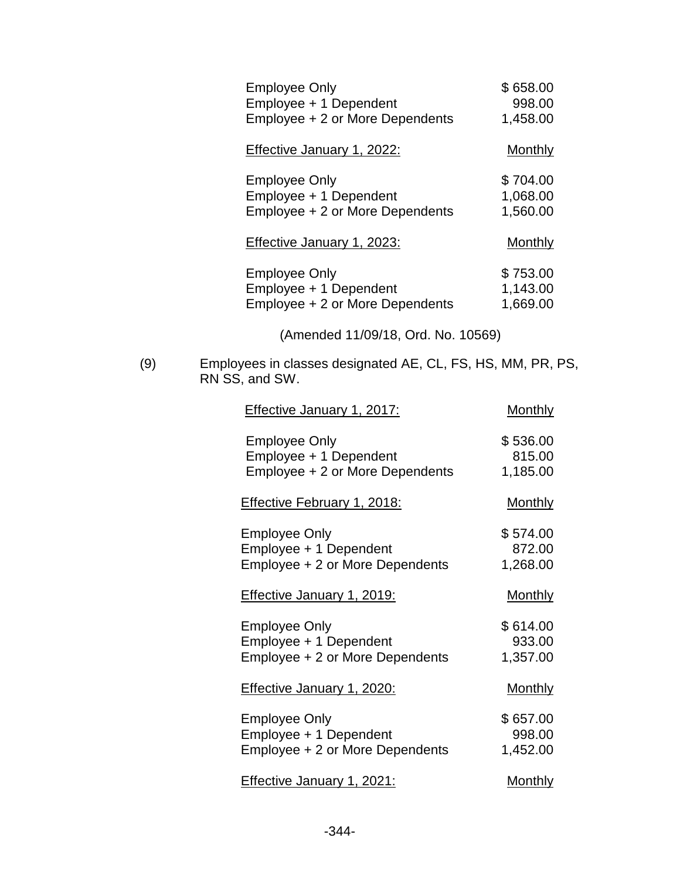| <b>Employee Only</b>            | \$658.00       |
|---------------------------------|----------------|
| Employee + 1 Dependent          | 998.00         |
| Employee + 2 or More Dependents | 1,458.00       |
| Effective January 1, 2022:      | <b>Monthly</b> |
| Employee Only                   | \$704.00       |
| Employee + 1 Dependent          | 1,068.00       |
| Employee + 2 or More Dependents | 1,560.00       |
| Effective January 1, 2023:      | Monthly        |
| Employee Only                   | \$753.00       |
| Employee + 1 Dependent          | 1,143.00       |
| Employee + 2 or More Dependents | 1,669.00       |

(Amended 11/09/18, Ord. No. 10569)

(9) Employees in classes designated AE, CL, FS, HS, MM, PR, PS, RN SS, and SW.

| <b>Effective January 1, 2017:</b>                                                 | <b>Monthly</b>                 |
|-----------------------------------------------------------------------------------|--------------------------------|
| <b>Employee Only</b><br>Employee + 1 Dependent<br>Employee + 2 or More Dependents | \$536.00<br>815.00<br>1,185.00 |
| <b>Effective February 1, 2018:</b>                                                | <u>Monthly</u>                 |
| <b>Employee Only</b><br>Employee + 1 Dependent<br>Employee + 2 or More Dependents | \$574.00<br>872.00<br>1,268.00 |
| <b>Effective January 1, 2019:</b>                                                 | <u>Monthly</u>                 |
| <b>Employee Only</b><br>Employee + 1 Dependent<br>Employee + 2 or More Dependents | \$614.00<br>933.00<br>1,357.00 |
| <b>Effective January 1, 2020:</b>                                                 | <u>Monthly</u>                 |
| <b>Employee Only</b><br>Employee + 1 Dependent<br>Employee + 2 or More Dependents | \$657.00<br>998.00<br>1,452.00 |
| <b>Effective January 1, 2021:</b>                                                 | <u>Monthly</u>                 |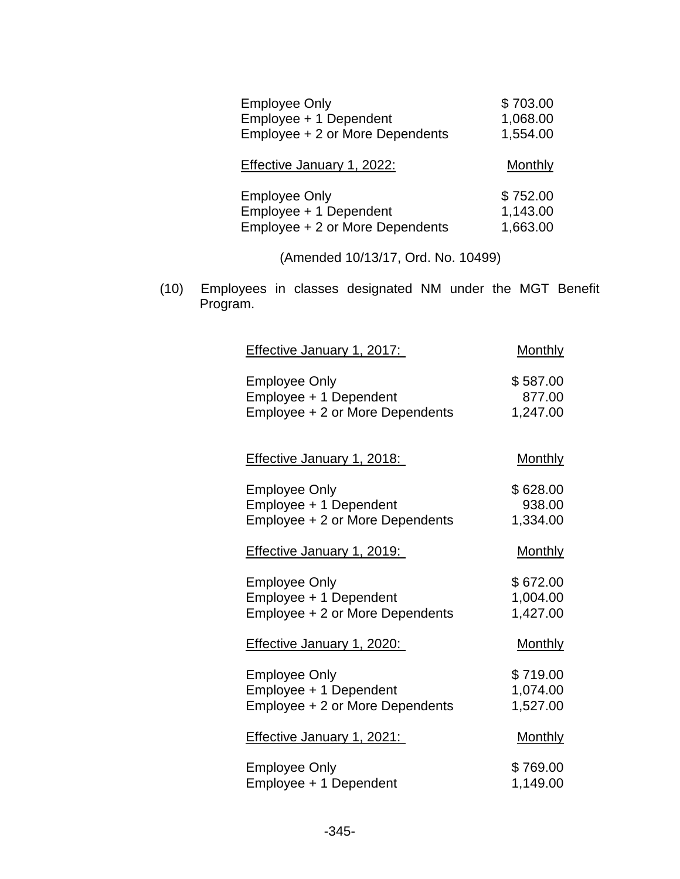| <b>Employee Only</b>            | \$703.00 |
|---------------------------------|----------|
| Employee + 1 Dependent          | 1,068.00 |
| Employee + 2 or More Dependents | 1,554.00 |
| Effective January 1, 2022:      | Monthly  |
| <b>Employee Only</b>            | \$752.00 |
| Employee + 1 Dependent          | 1,143.00 |
| Employee + 2 or More Dependents | 1,663.00 |

(Amended 10/13/17, Ord. No. 10499)

(10) Employees in classes designated NM under the MGT Benefit Program.

| <b>Effective January 1, 2017:</b> | <b>Monthly</b> |
|-----------------------------------|----------------|
| <b>Employee Only</b>              | \$587.00       |
| Employee + 1 Dependent            | 877.00         |
| Employee + 2 or More Dependents   | 1,247.00       |
| <b>Effective January 1, 2018:</b> | <b>Monthly</b> |
| <b>Employee Only</b>              | \$628.00       |
| Employee + 1 Dependent            | 938.00         |
| Employee + 2 or More Dependents   | 1,334.00       |
| <b>Effective January 1, 2019:</b> | <b>Monthly</b> |
| <b>Employee Only</b>              | \$672.00       |
| Employee + 1 Dependent            | 1,004.00       |
| Employee + 2 or More Dependents   | 1,427.00       |
| <b>Effective January 1, 2020:</b> | <b>Monthly</b> |
| <b>Employee Only</b>              | \$719.00       |
| Employee + 1 Dependent            | 1,074.00       |
| Employee + 2 or More Dependents   | 1,527.00       |
| <b>Effective January 1, 2021:</b> | <b>Monthly</b> |
| <b>Employee Only</b>              | \$769.00       |
| Employee + 1 Dependent            | 1,149.00       |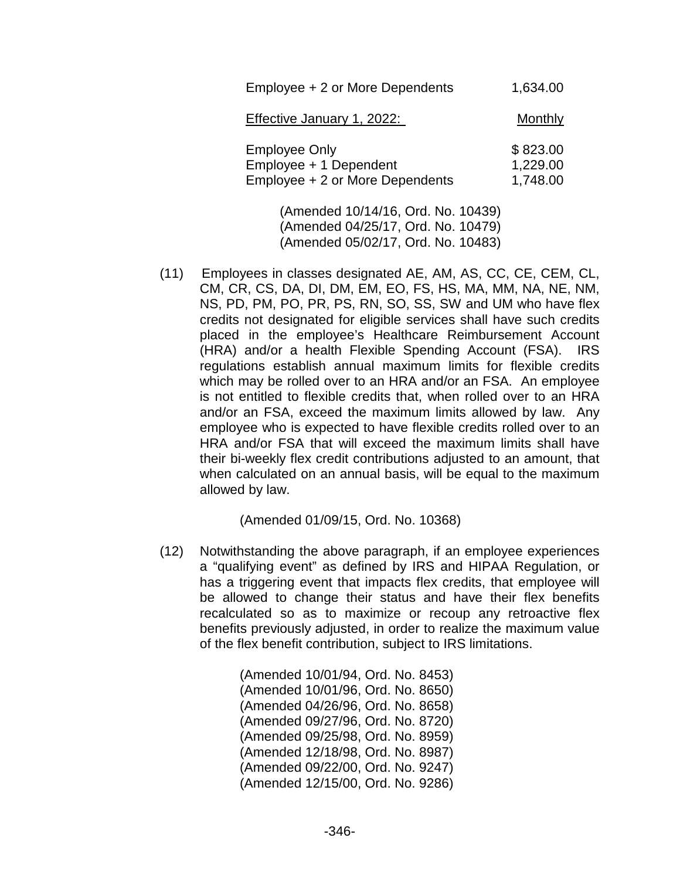| Employee + 2 or More Dependents                                                   | 1,634.00                         |
|-----------------------------------------------------------------------------------|----------------------------------|
| Effective January 1, 2022:                                                        | Monthly                          |
| <b>Employee Only</b><br>Employee + 1 Dependent<br>Employee + 2 or More Dependents | \$823.00<br>1,229.00<br>1,748.00 |
|                                                                                   |                                  |

(Amended 10/14/16, Ord. No. 10439) (Amended 04/25/17, Ord. No. 10479) (Amended 05/02/17, Ord. No. 10483)

(11) Employees in classes designated AE, AM, AS, CC, CE, CEM, CL, CM, CR, CS, DA, DI, DM, EM, EO, FS, HS, MA, MM, NA, NE, NM, NS, PD, PM, PO, PR, PS, RN, SO, SS, SW and UM who have flex credits not designated for eligible services shall have such credits placed in the employee's Healthcare Reimbursement Account (HRA) and/or a health Flexible Spending Account (FSA). IRS regulations establish annual maximum limits for flexible credits which may be rolled over to an HRA and/or an FSA. An employee is not entitled to flexible credits that, when rolled over to an HRA and/or an FSA, exceed the maximum limits allowed by law. Any employee who is expected to have flexible credits rolled over to an HRA and/or FSA that will exceed the maximum limits shall have their bi-weekly flex credit contributions adjusted to an amount, that when calculated on an annual basis, will be equal to the maximum allowed by law.

(Amended 01/09/15, Ord. No. 10368)

(12) Notwithstanding the above paragraph, if an employee experiences a "qualifying event" as defined by IRS and HIPAA Regulation, or has a triggering event that impacts flex credits, that employee will be allowed to change their status and have their flex benefits recalculated so as to maximize or recoup any retroactive flex benefits previously adjusted, in order to realize the maximum value of the flex benefit contribution, subject to IRS limitations.

> (Amended 10/01/94, Ord. No. 8453) (Amended 10/01/96, Ord. No. 8650) (Amended 04/26/96, Ord. No. 8658) (Amended 09/27/96, Ord. No. 8720) (Amended 09/25/98, Ord. No. 8959) (Amended 12/18/98, Ord. No. 8987) (Amended 09/22/00, Ord. No. 9247) (Amended 12/15/00, Ord. No. 9286)